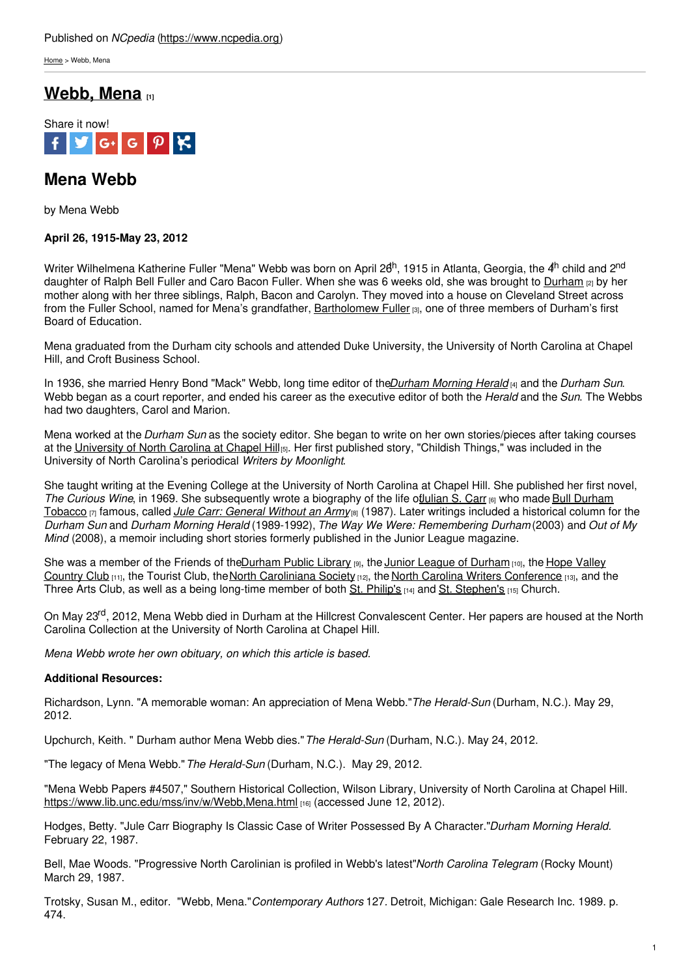[Home](https://www.ncpedia.org/) > Webb, Mena

## **[Webb,](https://www.ncpedia.org/webb-mena) Mena [1]**



# **Mena Webb**

by Mena Webb

### **April 26, 1915-May 23, 2012**

Writer Wilhelmena Katherine Fuller "Mena" Webb was born on April 26<sup>th</sup>, 1915 in Atlanta, Georgia, the 4<sup>th</sup> child and 2<sup>nd</sup> daughter of Ralph Bell Fuller and Caro Bacon Fuller. When she was 6 weeks old, she was brought to [Durham](https://www.ncpedia.org/geography/durham-city) [2] by her mother along with her three siblings, Ralph, Bacon and Carolyn. They moved into a house on Cleveland Street across from the Fuller School, named for Mena's [grandfather,](http://www.social9.com) [Bartholomew](https://www.ncpedia.org/biography/fuller-bartholomew) Fuller [3], one of three members of Durham's first Board of Education.

Mena graduated from the Durham city schools and attended Duke University, the University of North Carolina at Chapel Hill, and Croft Business School.

In 1936, she married Henry Bond "Mack" Webb, long time editor of the*Durham [Morning](https://www.ncpedia.org/durham-herald-sun) Herald* [4] and the *Durham Sun*. Webb began as a court reporter, and ended his career as the executive editor of both the *Herald* and the *Sun*. The Webbs had two daughters, Carol and Marion.

Mena worked at the *Durham Sun* as the society editor. She began to write on her own stories/pieces after taking courses at the [University](https://www.ncpedia.org/university-north-carolina-chapel-hi) of North Carolina at Chapel Hill<sub>[5]</sub>. Her first published story, "Childish Things," was included in the University of North Carolina's periodical *Writers by Moonlight*.

She taught writing at the Evening College at the University of North Carolina at Chapel Hill. She published her first novel, *The Curious Wine*, in 1969. She [subsequently](https://www.ncpedia.org/bull-durham-tobacco) wrote a biography of the life of ulian S. Carr [6] who made Bull Durham Tobacco [7] famous, called *Jule Carr: [General](https://uncpress.org/book/9780807866337/jule-carr/?title_id=2032) Without an Army*[8] (1987). Later writings included a historical column for the *Durham Sun* and *Durham Morning Herald* (1989-1992), *The Way We Were: Remembering Durham* (2003) and *Out of My Mind* (2008), a memoir including short stories formerly published in the Junior League magazine.

She was a member of the Friends of th[eDurham](https://durhamcountylibrary.org/) Public Library [9], the Junior League of [Durham](https://durhamandorangecounties.jl.org) [10], the Hope Valley Country Club  $[11]$ , the Tourist Club, the North [Caroliniana](https://ncsociety.org/) Society  $[12]$ , the North Carolina Writers [Conference](https://www.hvcc.org/)  $[13]$ , and the Three Arts Club, as well as a being long-time member of both St. [Philip's](https://www.episdionc.org/blog/meet-st-philips-durham/) [14] and St. [Stephen's](https://www.ssecdurham.org/) [15] Church.

On May 23<sup>rd</sup>, 2012, Mena Webb died in Durham at the Hillcrest Convalescent Center. Her papers are housed at the North Carolina Collection at the University of North Carolina at Chapel Hill.

*Mena Webb wrote her own obituary, on which this article is based.*

### **Additional Resources:**

Richardson, Lynn. "A memorable woman: An appreciation of Mena Webb."*The Herald-Sun* (Durham, N.C.). May 29, 2012.

Upchurch, Keith. " Durham author Mena Webb dies."*The Herald-Sun* (Durham, N.C.). May 24, 2012.

"The legacy of Mena Webb."*The Herald-Sun* (Durham, N.C.). May 29, 2012.

"Mena Webb Papers #4507," Southern Historical Collection, Wilson Library, University of North Carolina at Chapel Hill. <https://www.lib.unc.edu/mss/inv/w/Webb,Mena.html> [16] (accessed June 12, 2012).

Hodges, Betty. "Jule Carr Biography Is Classic Case of Writer Possessed By A Character."*Durham Morning Herald.* February 22, 1987.

Bell, Mae Woods. "Progressive North Carolinian is profiled in Webb's latest"*North Carolina Telegram* (Rocky Mount) March 29, 1987.

Trotsky, Susan M., editor. "Webb, Mena."*Contemporary Authors* 127*.* Detroit, Michigan: Gale Research Inc. 1989. p. 474.